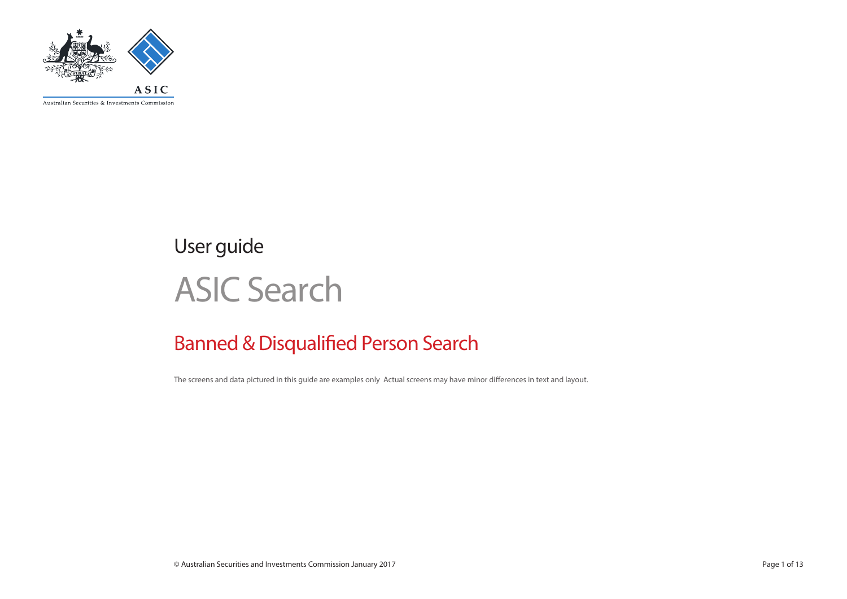

User guide

# ASIC Search

# Banned & Disqualified Person Search

The screens and data pictured in this guide are examples only Actual screens may have minor differences in text and layout.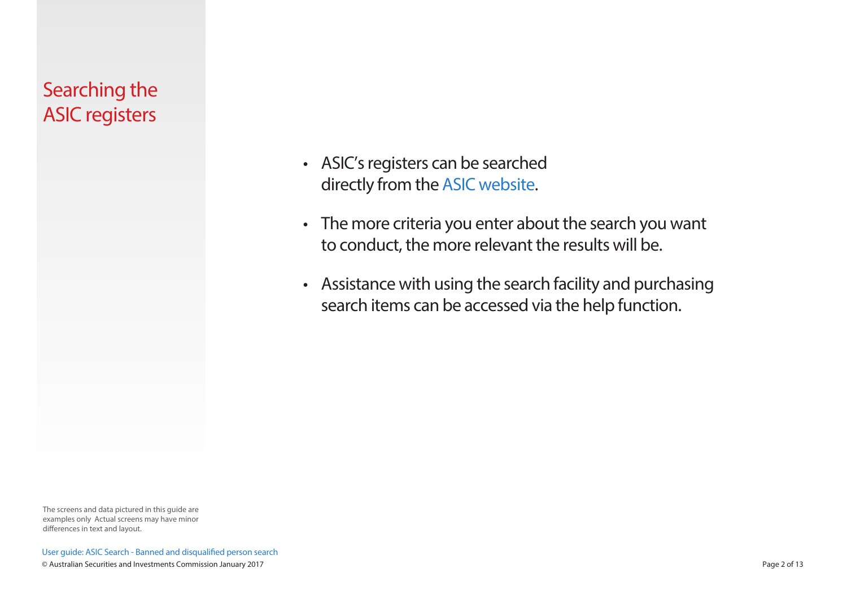# Searching the ASIC registers

- ASIC's registers can be searched directly from the [ASIC website](http://www.asic.gov.au).
- The more criteria you enter about the search you want to conduct, the more relevant the results will be.
- Assistance with using the search facility and purchasing search items can be accessed via the help function.

The screens and data pictured in this guide are examples only Actual screens may have minor differences in text and layout.

User guide: ASIC Search - Banned and disqualified person search © Australian Securities and Investments Commission January 2017 Page 2 of 13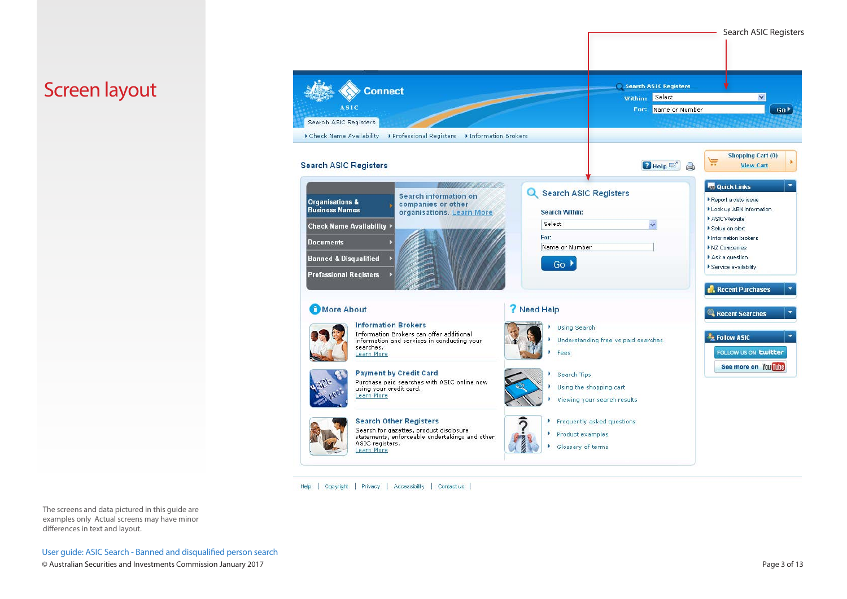Screen layout

Search ASIC Registers Connect within: Select  $\overline{\mathbf{v}}$ **ASIC** For: Name or Number Go b Search ASIC Registers Check Name Availability > Professional Registers > Information Brokers Shopping Cart (0) Ĕ  $Q$  Help  $\Box$ **Search ASIC Registers View Cart** <u> MINITE BALDI</u> **R&** Quick Links **Q** Search ASIC Registers Search information on Report a data issue **Organisations &** companies or other Look up ABN information **Business Names** organisations. Learn More **Search Within:** ASIC Website Select  $\checkmark$ **Check Name Availability** Setup an alert For: Information brokers **Documents** Name or Number NZ Companies **Banned & Disqualified** Ask a question  $Go$ Service availability **Professional Registers** Recent Purchases More About ? Need Help Recent Searches **Information Brokers** Using Search Information Brokers can offer additional **A** Follow ASIC Understanding free vs paid searches information and services in conducting your searches. FOLLOW US ON Ewitter Learn More Fees See more on You mile **Payment by Credit Card** Search Tips × Purchase paid searches with ASIC online now Using the shopping cart using your credit card. Learn More Viewing your search results **Search Other Registers** Frequently asked questions  $\overline{ }$ Search for gazettes, product disclosure Product examples statements, enforceable undertakings and other ASIC registers. Glossary of terms Learn More

Help | Copyright | Privacy | Accessibility | Contact us |

The screens and data pictured in this guide are examples only Actual screens may have minor differences in text and layout.

User guide: ASIC Search - Banned and disqualified person search © Australian Securities and Investments Commission January 2017 Page 3 of 13

Search ASIC Registers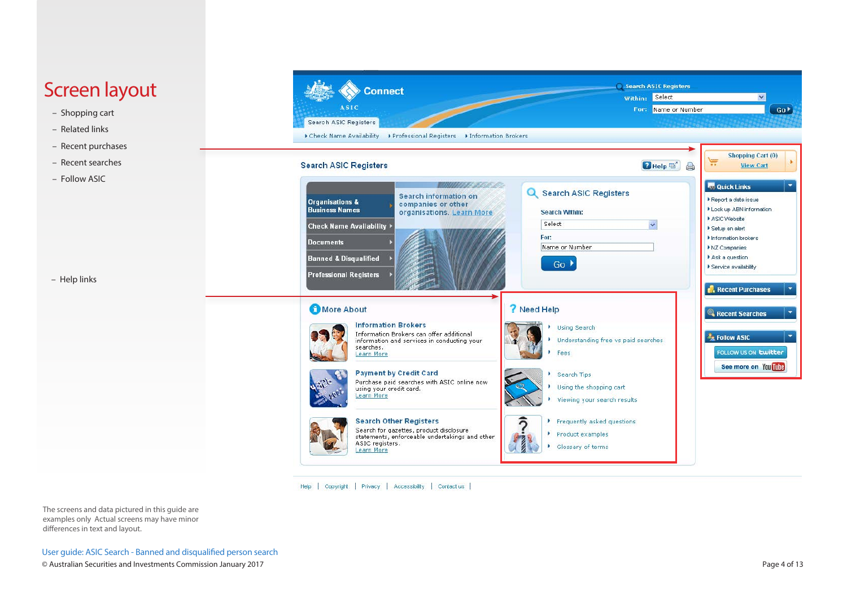# Screen layout

- Shopping cart
- Related links
- Recent purchases
- Recent searches
- Follow ASIC

– Help links



Search ASIC Registers Connect Within: Select  $\overline{\mathbf{v}}$ **ASIC** For: Name or Number  $Go<sup>*</sup>$ Search ASIC Registers Check Name Availability > Professional Registers > Information Brokers Shopping Cart (0) W **Search ASIC Registers**  $P$  Help  $\mathbb{D}^2$  $\Box$ View Cart **MITRESS A R** Quick Links Q Search ASIC Registers Search information on Report a data issue **Organisations &** companies or other Look up ABN information **Business Names** organisations. Learn More Search Within: ASIC Website Select  $\overline{\mathbf{v}}$ **Check Name Availability** Setup an alert For: Information brokers **Documents** Name or Number NZ Companies Ask a question **Banned & Disqualified**  $Go$ Service availability **Professional Registers** Recent Purchases More About ? Need Help Recent Searches **Information Brokers** Using Search × Information Brokers can offer additional **Ex Follow ASIC** Understanding free vs paid searches information and services in conducting your searches. FOLLOW US ON **Ewitter** Learn More Fees See more on You This **Payment by Credit Card** Search Tips Purchase paid searches with ASIC online now Using the shopping cart using your credit card. Learn More Viewing your search results **Search Other Registers** ົດ Frequently asked questions Search for gazettes, product disclosure Product examples statements, enforceable undertakings and other ASIC registers.  $\frac{1}{2}$ Glossary of terms Learn More

Help | Copyright | Privacy | Accessibility | Contact us |

The screens and data pictured in this guide are examples only Actual screens may have minor differences in text and layout.

User guide: ASIC Search - Banned and disqualified person search © Australian Securities and Investments Commission January 2017 Page 4 of 13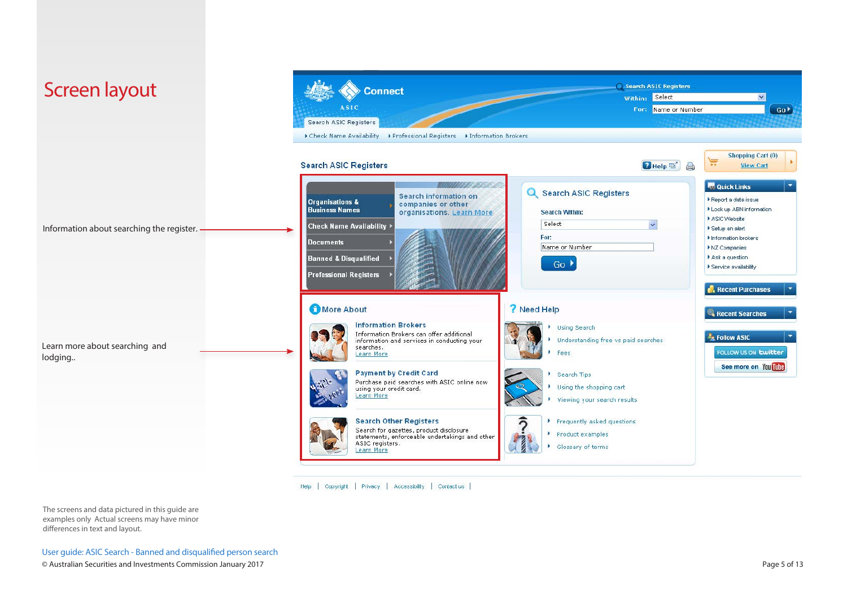

Help | Copyright | Privacy | Accessibility | Contact us |

The screens and data pictured in this guide are examples only Actual screens may have minor differences in text and layout.

User guide: ASIC Search - Banned and disqualified person search © Australian Securities and Investments Commission January 2017 Page 5 of 13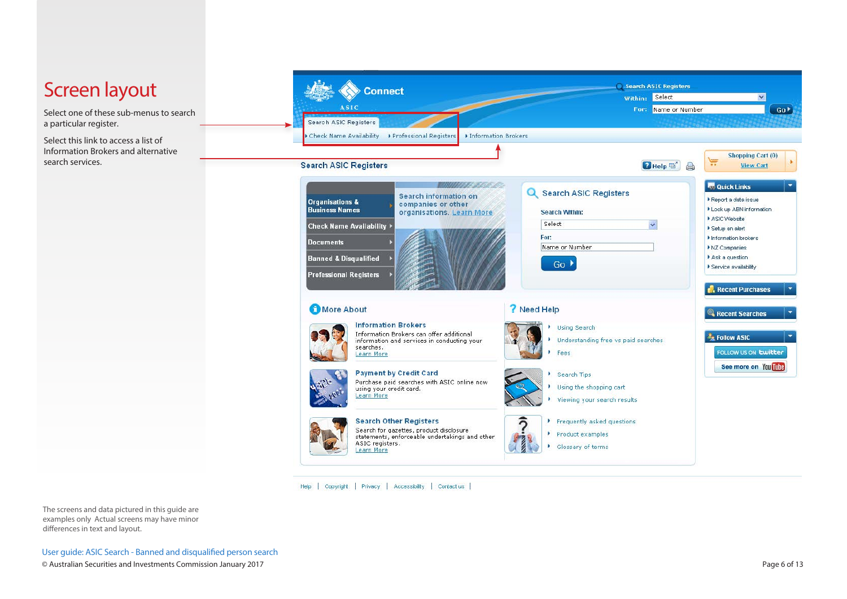

Help | Copyright | Privacy | Accessibility | Contact us |

The screens and data pictured in this guide are examples only Actual screens may have minor differences in text and layout.

User guide: ASIC Search - Banned and disqualified person search © Australian Securities and Investments Commission January 2017 Page 6 of 13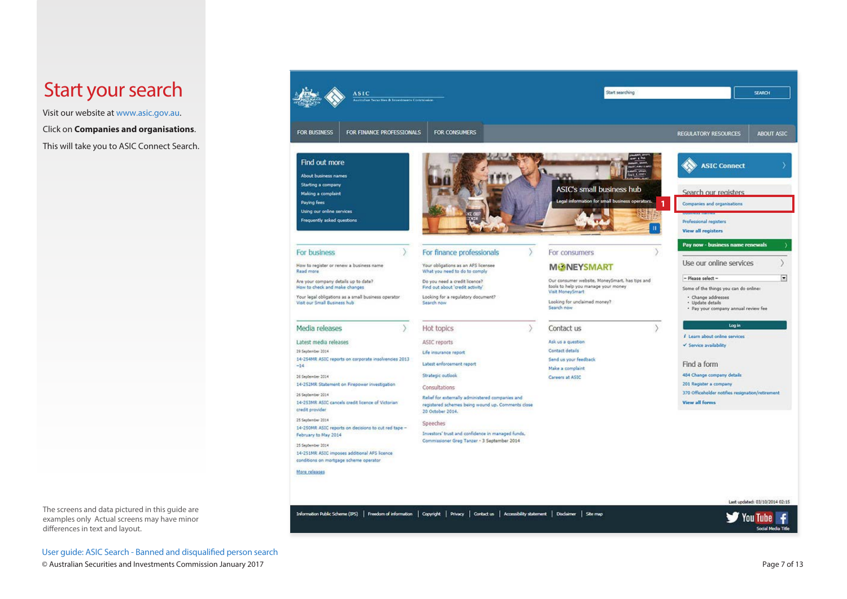### Start your search

Visit our website at www.asic.gov.au.

Click on **Companies and organisations**.

This will take you to ASIC Connect Search.



User guide: ASIC Search - Banned and disqualified person search © Australian Securities and Investments Commission January 2017 Page 7 of 13

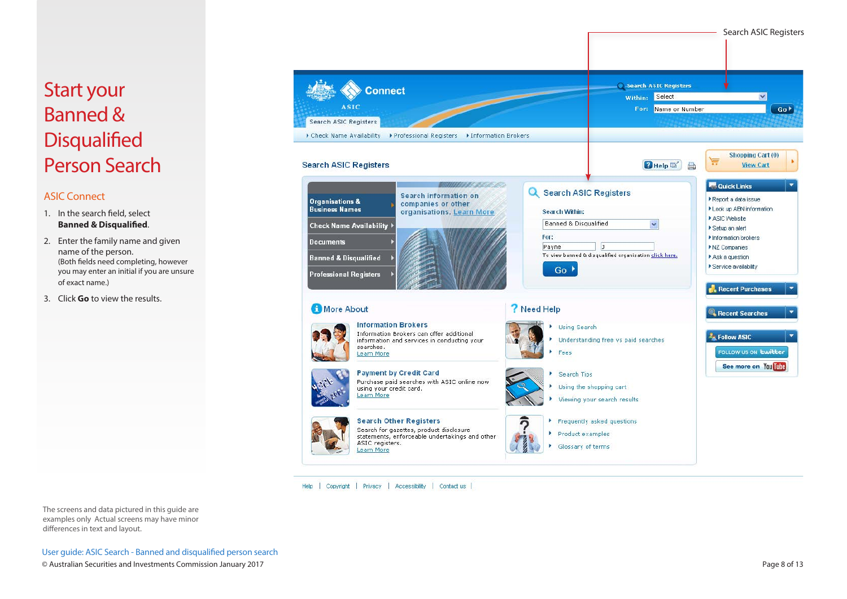# Start your Banned & **Disqualified** Person Search

#### ASIC Connect

- 1. In the search field, select **Banned & Disqualified**.
- 2. Enter the family name and given name of the person. (Both fields need completing, however you may enter an initial if you are unsure of exact name.)
- 3. Click **Go** to view the results.

The screens and data pictured in this guide are examples only Actual screens may have minor differences in text and layout.

User guide: ASIC Search - Banned and disqualified person search © Australian Securities and Investments Commission January 2017 Page 8 of 13



Help | Copyright | Privacy | Accessibility | Contact us |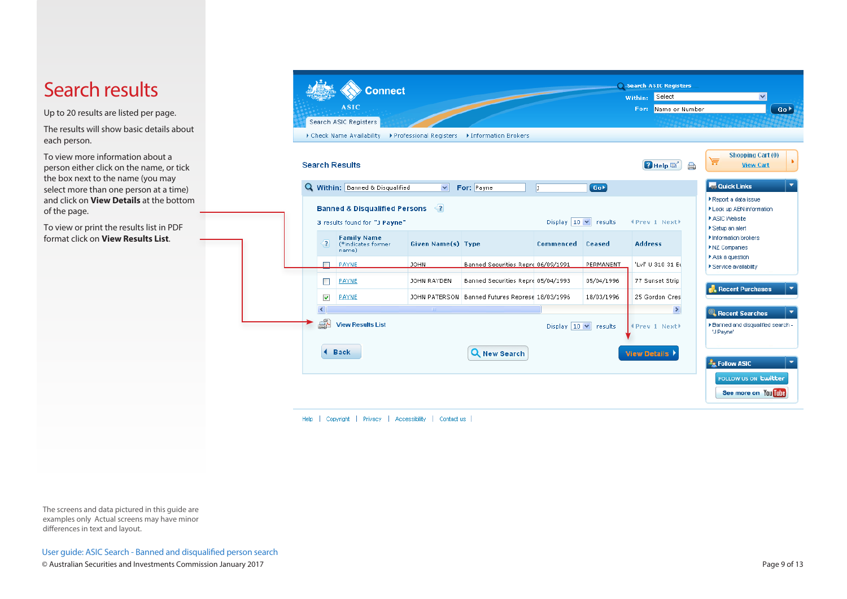# Search results

Up to 20 results are listed per page.

The results will show basic details about each person.

To view more information about a person either click on the name, or tick the box next to the name (you may select more than one person at a time) and click on **View Details** at the bottom of the page.

To view or print the results list in PDF format click on **View Results List**.



Help | Copyright | Privacy | Accessibility | Contactius |

The screens and data pictured in this guide are examples only Actual screens may have minor differences in text and layout.

User guide: ASIC Search - Banned and disqualified person search

© Australian Securities and Investments Commission January 2017 Page 9 of 13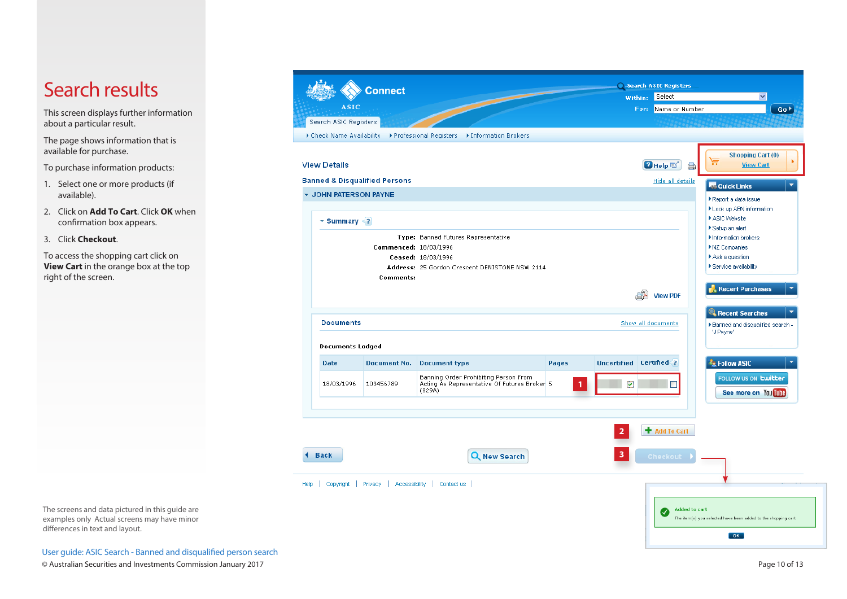# Search results

This screen displays further information about a particular result.

The page shows information that is available for purchase.

To purchase information products:

- 1. Select one or more products (if available).
- 2. Click on **Add To Cart**. Click **OK** when confirmation box appears.
- 3. Click **Checkout**.

To access the shopping cart click on **View Cart** in the orange box at the top right of the screen.

The screens and data pictured in this guide are examples only Actual screens may have minor differences in text and layout.

User guide: ASIC Search - Banned and disqualified person search © Australian Securities and Investments Commission January 2017 Page 10 of 13

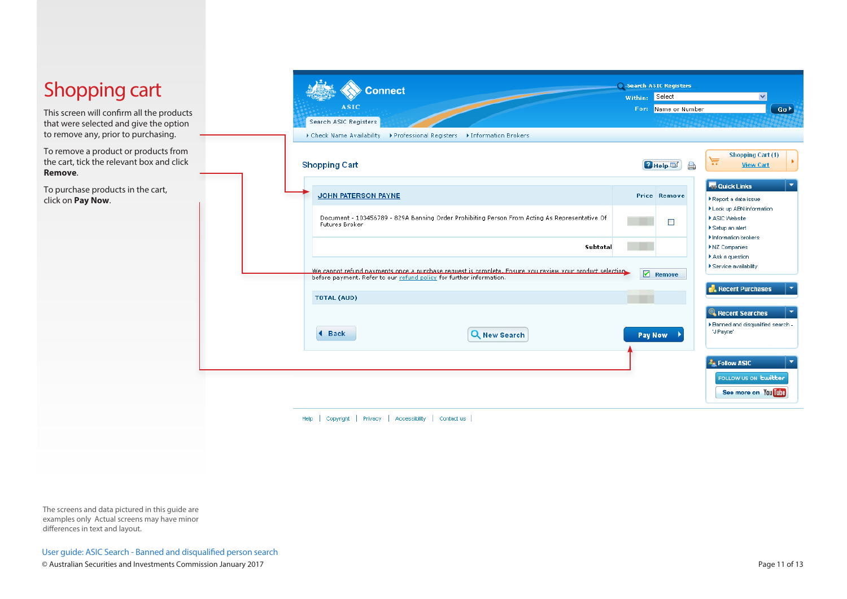| <b>Shopping cart</b><br>This screen will confirm all the products                            |  | <b>Connect</b><br><b>ASIC</b>                                                                                                                                                  | Within: Select | Search ASIC Registers<br>For: Name or Number                                         | Go <sup>1</sup>                                                      |
|----------------------------------------------------------------------------------------------|--|--------------------------------------------------------------------------------------------------------------------------------------------------------------------------------|----------------|--------------------------------------------------------------------------------------|----------------------------------------------------------------------|
| that were selected and give the option<br>to remove any, prior to purchasing.                |  | Search ASIC Registers<br>Check Name Availability >> Professional Registers >> Information Brokers                                                                              |                |                                                                                      |                                                                      |
| To remove a product or products from<br>the cart, tick the relevant box and click<br>Remove. |  | <b>Shopping Cart</b>                                                                                                                                                           |                | $H = \Box$<br>◬                                                                      | <b>Shopping Cart (1)</b><br>凒<br><b>View Cart</b>                    |
| To purchase products in the cart,<br>click on Pay Now.                                       |  | <b>JOHN PATERSON PAYNE</b>                                                                                                                                                     |                | <b>Price Remove</b>                                                                  | <b>Tes Quick Links</b><br>▶ Report a data issue                      |
|                                                                                              |  | Document - 103456789 - 829A Banning Order Prohibiting Person From Acting As Representative Of<br>Futures Broker                                                                | $\Box$         | > Look up ABN information<br>ASIC Website<br>▶ Setup an alert<br>Information brokers |                                                                      |
|                                                                                              |  | Subtotal                                                                                                                                                                       |                |                                                                                      | INZ Companies<br>Ask a question                                      |
|                                                                                              |  | We cannot refund nayments once a nurchase request is complete. Ensure you review your product selection<br>before payment. Refer to our refund policy for further information. | $\blacksquare$ | Remove                                                                               | ▶ Service availability                                               |
|                                                                                              |  | <b>TOTAL (AUD)</b>                                                                                                                                                             |                |                                                                                      | Recent Purchases                                                     |
|                                                                                              |  | <b>Back</b><br>Q New Search<br>м                                                                                                                                               |                | Pay Now                                                                              | Recent Searches<br>▶ Banned and disqualified search -<br>"J Payne"   |
|                                                                                              |  |                                                                                                                                                                                |                |                                                                                      | <b>Ex</b> Follow ASIC<br>FOLLOW US ON Ewitter<br>See more on You The |
|                                                                                              |  | Copyright   Privacy   Accessibility   Contact us<br>Help                                                                                                                       |                |                                                                                      |                                                                      |

The screens and data pictured in this guide are examples only Actual screens may have minor differences in text and layout.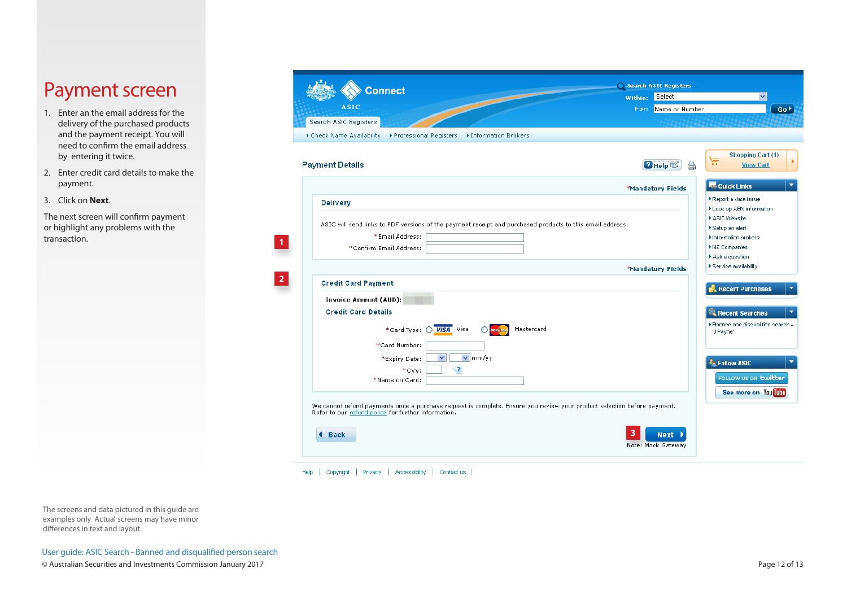# Payment screen

- 1. Enter an the email address for the delivery of the purchased products and the payment receipt. You will need to confirm the email address by entering it twice.
- 2. Enter credit card details to make the payment.
- 3. Click on **Next**.

The next screen will confirm payment or highlight any problems with the transaction.

| <b>Connect</b>                                                                                                                                                                 |         | Search ASIC Registers             |                                                                         |
|--------------------------------------------------------------------------------------------------------------------------------------------------------------------------------|---------|-----------------------------------|-------------------------------------------------------------------------|
| <b>ASIC</b>                                                                                                                                                                    | Within: | Select<br>For: Name or Number     | $\checkmark$<br>Go <sup>&gt;</sup>                                      |
| Search ASIC Registers                                                                                                                                                          |         |                                   |                                                                         |
| Check Name Availability<br>▶ Professional Registers ▶ Information Brokers                                                                                                      |         |                                   |                                                                         |
| <b>Payment Details</b>                                                                                                                                                         |         | $H = \Box$                        | <b>Shopping Cart (1)</b><br>Æ<br><b>View Cart</b>                       |
|                                                                                                                                                                                |         |                                   |                                                                         |
|                                                                                                                                                                                |         | *Mandatory Fields                 | <b>Co</b> Quick Links                                                   |
| <b>Delivery</b>                                                                                                                                                                |         |                                   | Report a data issue<br>Look up ABN information                          |
| ASIC will send links to PDF versions of the payment receipt and purchased products to this email address.<br>*Email Address:<br>*Confirm Email Address:                        |         |                                   | ASIC Website<br>Setup an alert<br>Information brokers<br>▶ NZ Companies |
|                                                                                                                                                                                |         |                                   | Ask a question                                                          |
|                                                                                                                                                                                |         | *Mandatory Fields                 | ▶ Service availability                                                  |
| <b>Credit Card Payment</b>                                                                                                                                                     |         |                                   | <b>Recent Purchases</b>                                                 |
| <b>Invoice Amount (AUD):</b>                                                                                                                                                   |         |                                   |                                                                         |
| <b>Credit Card Details</b>                                                                                                                                                     |         |                                   | <b>Recent Searches</b>                                                  |
| *Card Type: 0 VISA Visa<br>Mastercard                                                                                                                                          |         |                                   | ▶ Banned and disqualified search -<br>"J Payne"                         |
| *Card Number:                                                                                                                                                                  |         |                                   |                                                                         |
| $ v $ mm/yy<br>$\checkmark$<br>*Expiry Date:                                                                                                                                   |         |                                   | <b>Ex</b> Follow ASIC                                                   |
| ≺?<br>*CVV:<br>*Name on Card:                                                                                                                                                  |         |                                   | FOLLOW US ON <b>Ewitter</b>                                             |
|                                                                                                                                                                                |         |                                   | See more on You Tube                                                    |
| We cannot refund payments once a purchase request is complete. Ensure you review your product selection before payment.<br>Refer to our refund policy for further information. |         |                                   |                                                                         |
| <b>Back</b>                                                                                                                                                                    |         | <b>Next</b><br>Note: Mock Gateway |                                                                         |

Help | Copyright | Privacy | Accessibility | Contactius |

The screens and data pictured in this guide are examples only Actual screens may have minor differences in text and layout.

User guide: ASIC Search - Banned and disqualified person search © Australian Securities and Investments Commission January 2017 Page 12 of 13